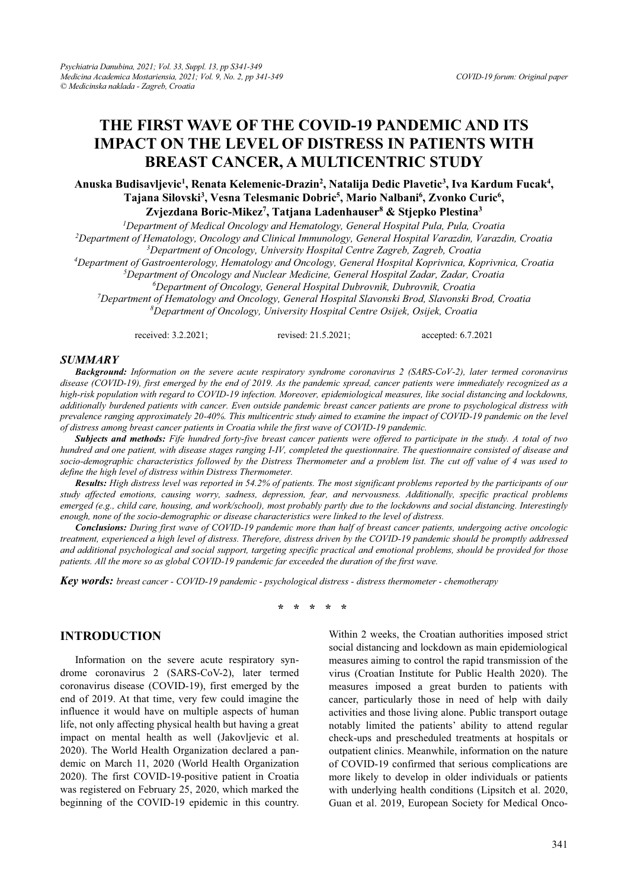# **THE FIRST WAVE OF THE COVID-19 PANDEMIC AND ITS IMPACT ON THE LEVEL OF DISTRESS IN PATIENTS WITH BREAST CANCER, A MULTICENTRIC STUDY**

# Anuska Budisavljevic<sup>1</sup>, Renata Kelemenic-Drazin<sup>2</sup>, Natalija Dedic Plavetic<sup>3</sup>, Iva Kardum Fucak<sup>4</sup>, Tajana Silovski<sup>3</sup>, Vesna Telesmanic Dobric<sup>5</sup>, Mario Nalbani<sup>6</sup>, Zvonko Curic<sup>6</sup>,

**Zvjezdana Boric-Mikez7 , Tatjana Ladenhauser8 & Stjepko Plestina3**

<sup>1</sup>Department of Medical Oncology and Hematology, General Hospital Pula, Pula, Croatia *Department of Medical Oncology and Hematology, General Hospital Pula, Pula, Croatia 2*

*Department of Hematology, Oncology and Clinical Immunology, General Hospital Varazdin, Varazdin, Croatia 3*

*Department of Oncology, University Hospital Centre Zagreb, Zagreb, Croatia 4*

*Department of Gastroenterology, Hematology and Oncology, General Hospital Koprivnica, Koprivnica, Croatia 5*

<sup>5</sup>Department of Oncology and Nuclear Medicine, General Hospital Zadar, Zadar, Croatia

*Department of Oncology, General Hospital Dubrovnik, Dubrovnik, Croatia 7*

*Department of Hematology and Oncology, General Hospital Slavonski Brod, Slavonski Brod, Croatia 8 Department of Oncology, University Hospital Centre Osijek, Osijek, Croatia* 

received: 3.2.2021; revised: 21.5.2021; accepted: 6.7.2021

#### *SUMMARY*

*Background: Information on the severe acute respiratory syndrome coronavirus 2 (SARS-CoV-2), later termed coronavirus disease (COVID-19), first emerged by the end of 2019. As the pandemic spread, cancer patients were immediately recognized as a high-risk population with regard to COVID-19 infection. Moreover, epidemiological measures, like social distancing and lockdowns, additionally burdened patients with cancer. Even outside pandemic breast cancer patients are prone to psychological distress with prevalence ranging approximately 20-40%. This multicentric study aimed to examine the impact of COVID-19 pandemic on the level of distress among breast cancer patients in Croatia while the first wave of COVID-19 pandemic.* 

*Subjects and methods: Fife hundred forty-five breast cancer patients were offered to participate in the study. A total of two hundred and one patient, with disease stages ranging I-IV, completed the questionnaire. The questionnaire consisted of disease and socio-demographic characteristics followed by the Distress Thermometer and a problem list. The cut off value of 4 was used to define the high level of distress within Distress Thermometer.* 

*Results: High distress level was reported in 54.2% of patients. The most significant problems reported by the participants of our study affected emotions, causing worry, sadness, depression, fear, and nervousness. Additionally, specific practical problems emerged (e.g., child care, housing, and work/school), most probably partly due to the lockdowns and social distancing. Interestingly enough, none of the socio-demographic or disease characteristics were linked to the level of distress.* 

*Conclusions: During first wave of COVID-19 pandemic more than half of breast cancer patients, undergoing active oncologic treatment, experienced a high level of distress. Therefore, distress driven by the COVID-19 pandemic should be promptly addressed and additional psychological and social support, targeting specific practical and emotional problems, should be provided for those patients. All the more so as global COVID-19 pandemic far exceeded the duration of the first wave.* 

*Key words: breast cancer - COVID-19 pandemic - psychological distress - distress thermometer - chemotherapy* 

**\* \* \* \* \*** 

#### **INTRODUCTION**

Information on the severe acute respiratory syndrome coronavirus 2 (SARS-CoV-2), later termed coronavirus disease (COVID-19), first emerged by the end of 2019. At that time, very few could imagine the influence it would have on multiple aspects of human life, not only affecting physical health but having a great impact on mental health as well (Jakovljevic et al. 2020). The World Health Organization declared a pandemic on March 11, 2020 (World Health Organization 2020). The first COVID-19-positive patient in Croatia was registered on February 25, 2020, which marked the beginning of the COVID-19 epidemic in this country.

Within 2 weeks, the Croatian authorities imposed strict social distancing and lockdown as main epidemiological measures aiming to control the rapid transmission of the virus (Croatian Institute for Public Health 2020). The measures imposed a great burden to patients with cancer, particularly those in need of help with daily activities and those living alone. Public transport outage notably limited the patients' ability to attend regular check-ups and prescheduled treatments at hospitals or outpatient clinics. Meanwhile, information on the nature of COVID-19 confirmed that serious complications are more likely to develop in older individuals or patients with underlying health conditions (Lipsitch et al. 2020, Guan et al. 2019, European Society for Medical Onco-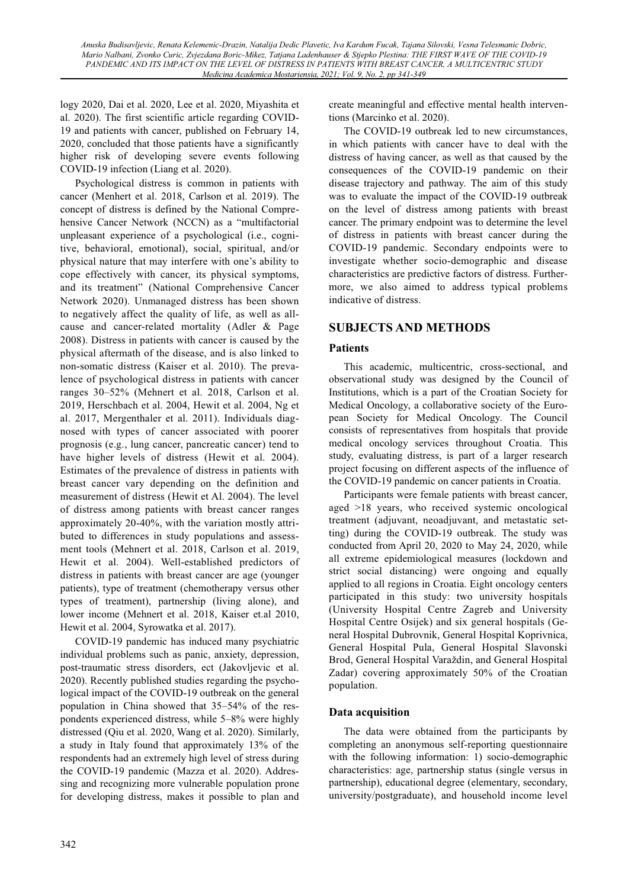logy 2020, Dai et al. 2020, Lee et al. 2020, Miyashita et al. 2020). The first scientific article regarding COVID-19 and patients with cancer, published on February 14, 2020, concluded that those patients have a significantly higher risk of developing severe events following COVID-19 infection (Liang et al. 2020).

Psychological distress is common in patients with cancer (Menhert et al. 2018, Carlson et al. 2019). The concept of distress is defined by the National Comprehensive Cancer Network (NCCN) as a "multifactorial unpleasant experience of a psychological (i.e., cognitive, behavioral, emotional), social, spiritual, and/or physical nature that may interfere with one's ability to cope effectively with cancer, its physical symptoms, and its treatment" (National Comprehensive Cancer Network 2020). Unmanaged distress has been shown to negatively affect the quality of life, as well as allcause and cancer-related mortality (Adler & Page 2008). Distress in patients with cancer is caused by the physical aftermath of the disease, and is also linked to non-somatic distress (Kaiser et al. 2010). The prevalence of psychological distress in patients with cancer ranges 30-52% (Mehnert et al. 2018, Carlson et al. 2019, Herschbach et al. 2004, Hewit et al. 2004, Ng et al. 2017, Mergenthaler et al. 2011). Individuals diagnosed with types of cancer associated with poorer prognosis (e.g., lung cancer, pancreatic cancer) tend to have higher levels of distress (Hewit et al. 2004). Estimates of the prevalence of distress in patients with breast cancer vary depending on the definition and measurement of distress (Hewit et Al. 2004). The level of distress among patients with breast cancer ranges approximately 20-40%, with the variation mostly attributed to differences in study populations and assessment tools (Mehnert et al. 2018, Carlson et al. 2019, Hewit et al. 2004). Well-established predictors of distress in patients with breast cancer are age (younger patients), type of treatment (chemotherapy versus other types of treatment), partnership (living alone), and lower income (Mehnert et al. 2018, Kaiser et.al 2010, Hewit et al. 2004, Syrowatka et al. 2017).

COVID-19 pandemic has induced many psychiatric individual problems such as panic, anxiety, depression, post-traumatic stress disorders, ect (Jakovljevic et al. 2020). Recently published studies regarding the psychological impact of the COVID-19 outbreak on the general population in China showed that  $35-54\%$  of the respondents experienced distress, while 5-8% were highly distressed (Qiu et al. 2020, Wang et al. 2020). Similarly, a study in Italy found that approximately 13% of the respondents had an extremely high level of stress during the COVID-19 pandemic (Mazza et al. 2020). Addressing and recognizing more vulnerable population prone for developing distress, makes it possible to plan and create meaningful and effective mental health interventions (Marcinko et al. 2020).

The COVID-19 outbreak led to new circumstances, in which patients with cancer have to deal with the distress of having cancer, as well as that caused by the consequences of the COVID-19 pandemic on their disease trajectory and pathway. The aim of this study was to evaluate the impact of the COVID-19 outbreak on the level of distress among patients with breast cancer. The primary endpoint was to determine the level of distress in patients with breast cancer during the COVID-19 pandemic. Secondary endpoints were to investigate whether socio-demographic and disease characteristics are predictive factors of distress. Furthermore, we also aimed to address typical problems indicative of distress.

### **SUBJECTS AND METHODS**

### **Patients**

This academic, multicentric, cross-sectional, and observational study was designed by the Council of Institutions, which is a part of the Croatian Society for Medical Oncology, a collaborative society of the European Society for Medical Oncology. The Council consists of representatives from hospitals that provide medical oncology services throughout Croatia. This study, evaluating distress, is part of a larger research project focusing on different aspects of the influence of the COVID-19 pandemic on cancer patients in Croatia.

Participants were female patients with breast cancer, aged >18 years, who received systemic oncological treatment (adjuvant, neoadjuvant, and metastatic setting) during the COVID-19 outbreak. The study was conducted from April 20, 2020 to May 24, 2020, while all extreme epidemiological measures (lockdown and strict social distancing) were ongoing and equally applied to all regions in Croatia. Eight oncology centers participated in this study: two university hospitals (University Hospital Centre Zagreb and University Hospital Centre Osijek) and six general hospitals (General Hospital Dubrovnik, General Hospital Koprivnica, General Hospital Pula, General Hospital Slavonski Brod, General Hospital Varaždin, and General Hospital Zadar) covering approximately 50% of the Croatian population.

### **Data acquisition**

The data were obtained from the participants by completing an anonymous self-reporting questionnaire with the following information: 1) socio-demographic characteristics: age, partnership status (single versus in partnership), educational degree (elementary, secondary, university/postgraduate), and household income level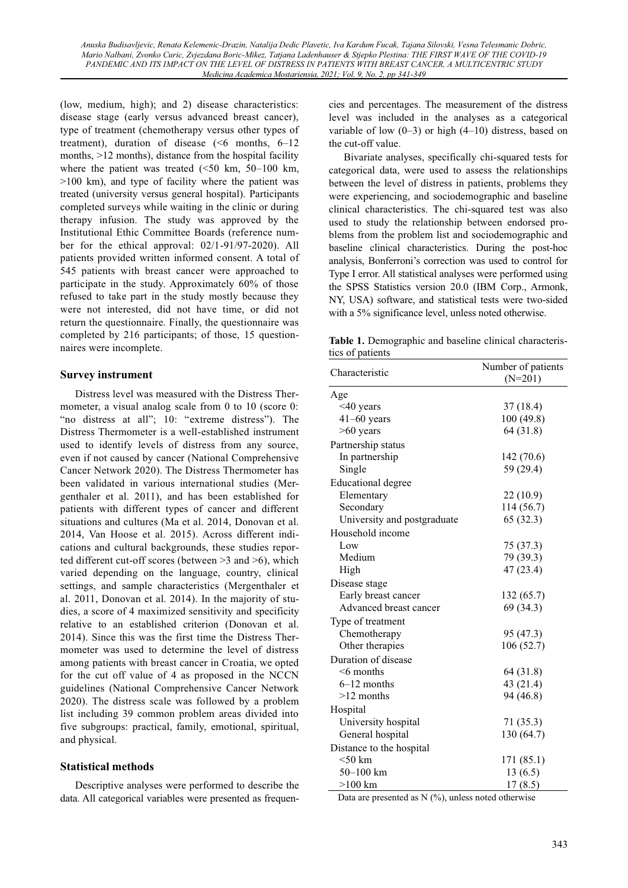(low, medium, high); and 2) disease characteristics: disease stage (early versus advanced breast cancer), type of treatment (chemotherapy versus other types of treatment), duration of disease  $(56 \text{ months}, 6-12)$ months,  $>12$  months), distance from the hospital facility where the patient was treated  $(<50$  km,  $50-100$  km, >100 km), and type of facility where the patient was treated (university versus general hospital). Participants completed surveys while waiting in the clinic or during therapy infusion. The study was approved by the Institutional Ethic Committee Boards (reference number for the ethical approval: 02/1-91/97-2020). All patients provided written informed consent. A total of 545 patients with breast cancer were approached to participate in the study. Approximately 60% of those refused to take part in the study mostly because they were not interested, did not have time, or did not return the questionnaire. Finally, the questionnaire was completed by 216 participants; of those, 15 questionnaires were incomplete.

#### **Survey instrument**

Distress level was measured with the Distress Thermometer, a visual analog scale from 0 to 10 (score 0: "no distress at all"; 10: "extreme distress"). The Distress Thermometer is a well-established instrument used to identify levels of distress from any source, even if not caused by cancer (National Comprehensive Cancer Network 2020). The Distress Thermometer has been validated in various international studies (Mergenthaler et al. 2011), and has been established for patients with different types of cancer and different situations and cultures (Ma et al. 2014, Donovan et al. 2014, Van Hoose et al. 2015). Across different indications and cultural backgrounds, these studies reported different cut-off scores (between >3 and >6), which varied depending on the language, country, clinical settings, and sample characteristics (Mergenthaler et al. 2011, Donovan et al. 2014). In the majority of studies, a score of 4 maximized sensitivity and specificity relative to an established criterion (Donovan et al. 2014). Since this was the first time the Distress Thermometer was used to determine the level of distress among patients with breast cancer in Croatia, we opted for the cut off value of 4 as proposed in the NCCN guidelines (National Comprehensive Cancer Network 2020). The distress scale was followed by a problem list including 39 common problem areas divided into five subgroups: practical, family, emotional, spiritual, and physical.

### **Statistical methods**

Descriptive analyses were performed to describe the data. All categorical variables were presented as frequencies and percentages. The measurement of the distress level was included in the analyses as a categorical variable of low  $(0-3)$  or high  $(4-10)$  distress, based on the cut-off value.

Bivariate analyses, specifically chi-squared tests for categorical data, were used to assess the relationships between the level of distress in patients, problems they were experiencing, and sociodemographic and baseline clinical characteristics. The chi-squared test was also used to study the relationship between endorsed problems from the problem list and sociodemographic and baseline clinical characteristics. During the post-hoc analysis, Bonferroni's correction was used to control for Type I error. All statistical analyses were performed using the SPSS Statistics version 20.0 (IBM Corp., Armonk, NY, USA) software, and statistical tests were two-sided with a 5% significance level, unless noted otherwise.

**Table 1.** Demographic and baseline clinical characteristics of patients

| Characteristic              | Number of patients<br>$(N=201)$ |  |
|-----------------------------|---------------------------------|--|
|                             |                                 |  |
| Age<br>$<$ 40 years         | 37 (18.4)                       |  |
| $41-60$ years               | 100 (49.8)                      |  |
| $>60$ years                 | 64 (31.8)                       |  |
| Partnership status          |                                 |  |
| In partnership              | 142 (70.6)                      |  |
| Single                      | 59 (29.4)                       |  |
|                             |                                 |  |
| <b>Educational degree</b>   |                                 |  |
| Elementary                  | 22 (10.9)<br>114 (56.7)         |  |
| Secondary                   | 65 (32.3)                       |  |
| University and postgraduate |                                 |  |
| Household income            |                                 |  |
| Low<br>Medium               | 75 (37.3)                       |  |
|                             | 79 (39.3)                       |  |
| High                        | 47 (23.4)                       |  |
| Disease stage               |                                 |  |
| Early breast cancer         | 132(65.7)                       |  |
| Advanced breast cancer      | 69 (34.3)                       |  |
| Type of treatment           |                                 |  |
| Chemotherapy                | 95 (47.3)                       |  |
| Other therapies             | 106 (52.7)                      |  |
| Duration of disease         |                                 |  |
| $<$ 6 months                | 64 (31.8)                       |  |
| $6-12$ months               | 43 (21.4)                       |  |
| $>12$ months                | 94 (46.8)                       |  |
| Hospital                    |                                 |  |
| University hospital         | 71 (35.3)                       |  |
| General hospital            | 130 (64.7)                      |  |
| Distance to the hospital    |                                 |  |
| $<$ 50 km                   | 171 (85.1)                      |  |
| $50 - 100$ km               | 13(6.5)                         |  |
| $>100$ km                   | 17(8.5)                         |  |

Data are presented as  $N$  (%), unless noted otherwise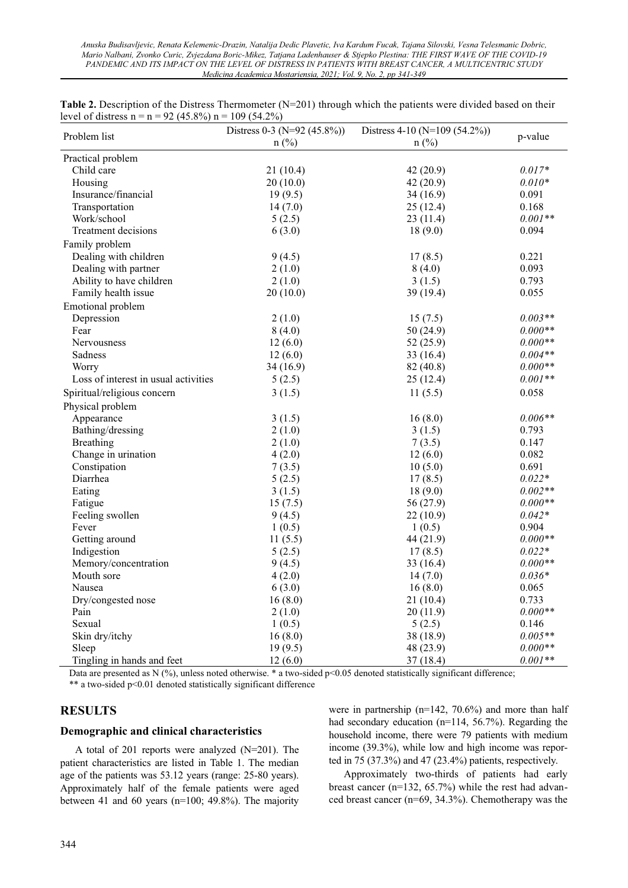*Anuska Budisavljevic, Renata Kelemenic-Drazin, Natalija Dedic Plavetic, Iva Kardum Fucak, Tajana Silovski, Vesna Telesmanic Dobric, Mario Nalbani, Zvonko Curic, Zvjezdana Boric-Mikez, Tatjana Ladenhauser & Stjepko Plestina: THE FIRST WAVE OF THE COVID-19 PANDEMIC AND ITS IMPACT ON THE LEVEL OF DISTRESS IN PATIENTS WITH BREAST CANCER, A MULTICENTRIC STUDY Medicina Academica Mostariensia, 2021; Vol. 9, No. 2, pp 341-349* 

|                                      | Distress $0-3$ (N=92 (45.8%)) | Distress $4-10$ (N=109 (54.2%)) |           |
|--------------------------------------|-------------------------------|---------------------------------|-----------|
| Problem list                         | $n$ (%)                       | $n$ (%)                         | p-value   |
| Practical problem                    |                               |                                 |           |
| Child care                           | 21(10.4)                      | 42(20.9)                        | $0.017*$  |
| Housing                              | 20(10.0)                      | 42 (20.9)                       | $0.010*$  |
| Insurance/financial                  | 19(9.5)                       | 34(16.9)                        | 0.091     |
| Transportation                       | 14(7.0)                       | 25(12.4)                        | 0.168     |
| Work/school                          | 5(2.5)                        | 23(11.4)                        | $0.001**$ |
| <b>Treatment decisions</b>           | 6(3.0)                        | 18(9.0)                         | 0.094     |
| Family problem                       |                               |                                 |           |
| Dealing with children                | 9(4.5)                        | 17(8.5)                         | 0.221     |
| Dealing with partner                 | 2(1.0)                        | 8(4.0)                          | 0.093     |
| Ability to have children             | 2(1.0)                        | 3(1.5)                          | 0.793     |
| Family health issue                  | 20(10.0)                      | 39 (19.4)                       | 0.055     |
| Emotional problem                    |                               |                                 |           |
| Depression                           | 2(1.0)                        | 15(7.5)                         | $0.003**$ |
| Fear                                 | 8(4.0)                        | 50(24.9)                        | $0.000**$ |
| Nervousness                          | 12(6.0)                       | 52(25.9)                        | $0.000**$ |
| Sadness                              | 12(6.0)                       | 33 (16.4)                       | $0.004**$ |
| Worry                                | 34(16.9)                      | 82 (40.8)                       | $0.000**$ |
| Loss of interest in usual activities | 5(2.5)                        | 25(12.4)                        | $0.001**$ |
| Spiritual/religious concern          | 3(1.5)                        | 11(5.5)                         | 0.058     |
| Physical problem                     |                               |                                 |           |
| Appearance                           | 3(1.5)                        | 16(8.0)                         | $0.006**$ |
| Bathing/dressing                     | 2(1.0)                        | 3(1.5)                          | 0.793     |
| <b>Breathing</b>                     | 2(1.0)                        | 7(3.5)                          | 0.147     |
| Change in urination                  | 4(2.0)                        | 12(6.0)                         | 0.082     |
| Constipation                         | 7(3.5)                        | 10(5.0)                         | 0.691     |
| Diarrhea                             | 5(2.5)                        | 17(8.5)                         | $0.022*$  |
| Eating                               | 3(1.5)                        | 18(9.0)                         | $0.002**$ |
| Fatigue                              | 15(7.5)                       | 56 (27.9)                       | $0.000**$ |
| Feeling swollen                      | 9(4.5)                        | 22(10.9)                        | $0.042*$  |
| Fever                                | 1(0.5)                        | 1(0.5)                          | 0.904     |
| Getting around                       | 11(5.5)                       | 44 (21.9)                       | $0.000**$ |
| Indigestion                          | 5(2.5)                        | 17(8.5)                         | $0.022*$  |
| Memory/concentration                 | 9(4.5)                        | 33 (16.4)                       | $0.000**$ |
| Mouth sore                           | 4(2.0)                        | 14(7.0)                         | $0.036*$  |
| Nausea                               | 6(3.0)                        | 16(8.0)                         | 0.065     |
| Dry/congested nose                   | 16(8.0)                       | 21(10.4)                        | 0.733     |
| Pain                                 | 2(1.0)                        | 20(11.9)                        | $0.000**$ |
| Sexual                               | 1(0.5)                        | 5(2.5)                          | 0.146     |
| Skin dry/itchy                       | 16(8.0)                       | 38 (18.9)                       | $0.005**$ |
| Sleep                                | 19(9.5)                       | 48 (23.9)                       | $0.000**$ |
| Tingling in hands and feet           | 12(6.0)                       | 37(18.4)                        | $0.001**$ |

**Table 2.** Description of the Distress Thermometer (N=201) through which the patients were divided based on their level of distress  $n = n = 92$  (45.8%)  $n = 109$  (54.2%)

Data are presented as N (%), unless noted otherwise. \* a two-sided p<0.05 denoted statistically significant difference; \*\* a two-sided p<0.01 denoted statistically significant difference

### **RESULTS**

#### **Demographic and clinical characteristics**

A total of 201 reports were analyzed (N=201). The patient characteristics are listed in Table 1. The median age of the patients was 53.12 years (range: 25-80 years). Approximately half of the female patients were aged between 41 and 60 years (n=100; 49.8%). The majority were in partnership (n=142, 70.6%) and more than half had secondary education (n=114, 56.7%). Regarding the household income, there were 79 patients with medium income (39.3%), while low and high income was reported in 75 (37.3%) and 47 (23.4%) patients, respectively.

Approximately two-thirds of patients had early breast cancer (n=132, 65.7%) while the rest had advanced breast cancer (n=69, 34.3%). Chemotherapy was the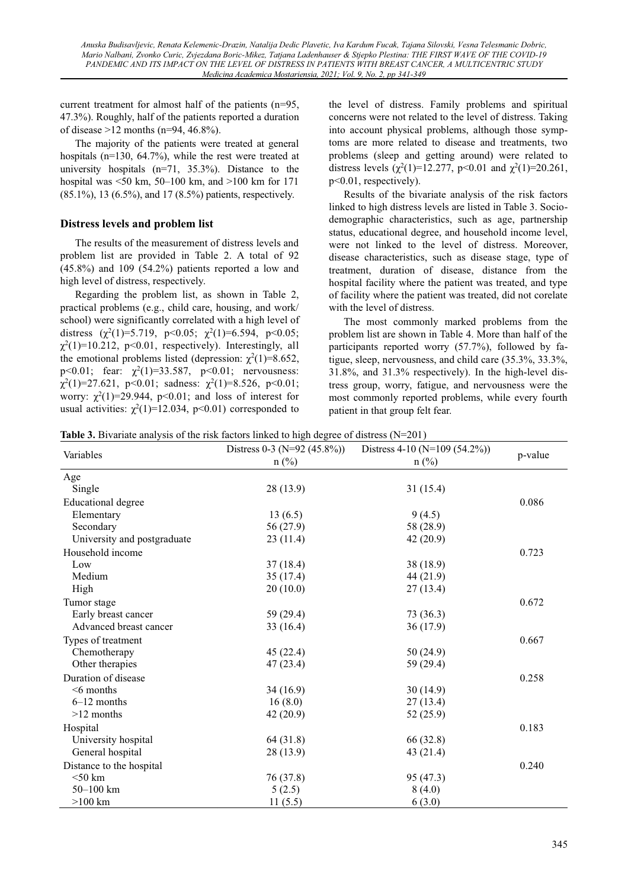current treatment for almost half of the patients (n=95, 47.3%). Roughly, half of the patients reported a duration of disease >12 months (n=94, 46.8%).

The majority of the patients were treated at general hospitals (n=130, 64.7%), while the rest were treated at university hospitals  $(n=71, 35.3%)$ . Distance to the hospital was  $\leq 50$  km,  $50-100$  km, and  $>100$  km for 171 (85.1%), 13 (6.5%), and 17 (8.5%) patients, respectively.

### **Distress levels and problem list**

The results of the measurement of distress levels and problem list are provided in Table 2. A total of 92 (45.8%) and 109 (54.2%) patients reported a low and high level of distress, respectively.

Regarding the problem list, as shown in Table 2, practical problems (e.g., child care, housing, and work/ school) were significantly correlated with a high level of distress  $(\chi^2(1)=5.719, \ p<0.05; \ \chi^2(1)=6.594, \ p<0.05;$  $\chi^2(1)$ =10.212, p<0.01, respectively). Interestingly, all the emotional problems listed (depression:  $\chi^2(1)=8.652$ ,  $p < 0.01$ ; fear:  $\chi^2(1) = 33.587$ ,  $p < 0.01$ ; nervousness:  $\chi^2(1)=27.621$ , p<0.01; sadness:  $\chi^2(1)=8.526$ , p<0.01; worry:  $\chi^2(1)=29.944$ , p<0.01; and loss of interest for usual activities:  $\chi^2(1)=12.034$ , p<0.01) corresponded to the level of distress. Family problems and spiritual concerns were not related to the level of distress. Taking into account physical problems, although those symptoms are more related to disease and treatments, two problems (sleep and getting around) were related to distress levels  $(\chi^2(1)=12.277, \, p<0.01 \text{ and } \chi^2(1)=20.261,$ p<0.01, respectively).

Results of the bivariate analysis of the risk factors linked to high distress levels are listed in Table 3. Sociodemographic characteristics, such as age, partnership status, educational degree, and household income level, were not linked to the level of distress. Moreover, disease characteristics, such as disease stage, type of treatment, duration of disease, distance from the hospital facility where the patient was treated, and type of facility where the patient was treated, did not corelate with the level of distress.

The most commonly marked problems from the problem list are shown in Table 4. More than half of the participants reported worry (57.7%), followed by fatigue, sleep, nervousness, and child care (35.3%, 33.3%, 31.8%, and 31.3% respectively). In the high-level distress group, worry, fatigue, and nervousness were the most commonly reported problems, while every fourth patient in that group felt fear.

|  | <b>Table 3.</b> Bivariate analysis of the risk factors linked to high degree of distress $(N=201)$ |  |
|--|----------------------------------------------------------------------------------------------------|--|
|  |                                                                                                    |  |

| Variables                   | Distress $0-3$ (N=92 (45.8%)) | Distress 4-10 (N=109 (54.2%)) |         |
|-----------------------------|-------------------------------|-------------------------------|---------|
|                             | $n$ (%)                       | $n$ (%)                       | p-value |
| Age                         |                               |                               |         |
| Single                      | 28 (13.9)                     | 31(15.4)                      |         |
| <b>Educational degree</b>   |                               |                               | 0.086   |
| Elementary                  | 13(6.5)                       | 9(4.5)                        |         |
| Secondary                   | 56 (27.9)                     | 58 (28.9)                     |         |
| University and postgraduate | 23(11.4)                      | 42(20.9)                      |         |
| Household income            |                               |                               | 0.723   |
| Low                         | 37(18.4)                      | 38 (18.9)                     |         |
| Medium                      | 35 (17.4)                     | 44 (21.9)                     |         |
| High                        | 20(10.0)                      | 27(13.4)                      |         |
| Tumor stage                 |                               |                               | 0.672   |
| Early breast cancer         | 59 (29.4)                     | 73 (36.3)                     |         |
| Advanced breast cancer      | 33 (16.4)                     | 36(17.9)                      |         |
| Types of treatment          |                               |                               | 0.667   |
| Chemotherapy                | 45 (22.4)                     | 50(24.9)                      |         |
| Other therapies             | 47 (23.4)                     | 59 (29.4)                     |         |
| Duration of disease         |                               |                               | 0.258   |
| $6$ months                  | 34 (16.9)                     | 30(14.9)                      |         |
| $6-12$ months               | 16(8.0)                       | 27(13.4)                      |         |
| $>12$ months                | 42 (20.9)                     | 52 (25.9)                     |         |
| Hospital                    |                               |                               | 0.183   |
| University hospital         | 64 (31.8)                     | 66 (32.8)                     |         |
| General hospital            | 28 (13.9)                     | 43 (21.4)                     |         |
| Distance to the hospital    |                               |                               | 0.240   |
| $<$ 50 km                   | 76 (37.8)                     | 95 (47.3)                     |         |
| 50-100 km                   | 5(2.5)                        | 8(4.0)                        |         |
| $>100$ km                   | 11(5.5)                       | 6(3.0)                        |         |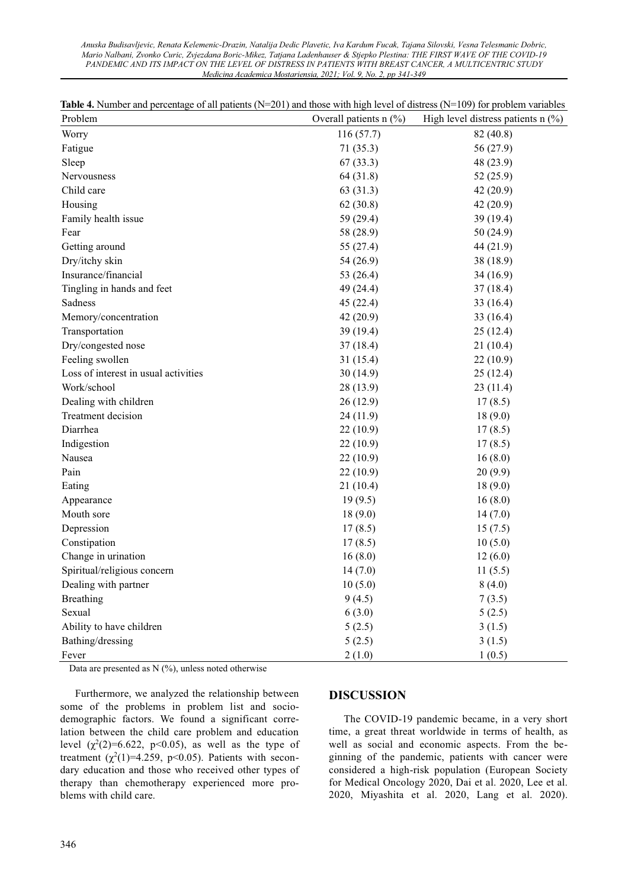*Anuska Budisavljevic, Renata Kelemenic-Drazin, Natalija Dedic Plavetic, Iva Kardum Fucak, Tajana Silovski, Vesna Telesmanic Dobric, Mario Nalbani, Zvonko Curic, Zvjezdana Boric-Mikez, Tatjana Ladenhauser & Stjepko Plestina: THE FIRST WAVE OF THE COVID-19 PANDEMIC AND ITS IMPACT ON THE LEVEL OF DISTRESS IN PATIENTS WITH BREAST CANCER, A MULTICENTRIC STUDY Medicina Academica Mostariensia, 2021; Vol. 9, No. 2, pp 341-349* 

| <b>Table 4.</b> Number and percentage of all patients $(N=201)$ and those with high level of distress $(N=109)$ for problem variables |  |  |  |  |
|---------------------------------------------------------------------------------------------------------------------------------------|--|--|--|--|
|---------------------------------------------------------------------------------------------------------------------------------------|--|--|--|--|

| Problem                              | Overall patients $n$ (%) | High level distress patients $n$ (%) |
|--------------------------------------|--------------------------|--------------------------------------|
| Worry                                | 116(57.7)                | 82 (40.8)                            |
| Fatigue                              | 71(35.3)                 | 56 (27.9)                            |
| Sleep                                | 67(33.3)                 | 48 (23.9)                            |
| Nervousness                          | 64 (31.8)                | 52 (25.9)                            |
| Child care                           | 63 (31.3)                | 42 (20.9)                            |
| Housing                              | 62(30.8)                 | 42 (20.9)                            |
| Family health issue                  | 59 (29.4)                | 39 (19.4)                            |
| Fear                                 | 58 (28.9)                | 50 (24.9)                            |
| Getting around                       | 55 (27.4)                | 44 (21.9)                            |
| Dry/itchy skin                       | 54 (26.9)                | 38 (18.9)                            |
| Insurance/financial                  | 53 (26.4)                | 34 (16.9)                            |
| Tingling in hands and feet           | 49 (24.4)                | 37(18.4)                             |
| Sadness                              | 45(22.4)                 | 33 (16.4)                            |
| Memory/concentration                 | 42(20.9)                 | 33 (16.4)                            |
| Transportation                       | 39 (19.4)                | 25(12.4)                             |
| Dry/congested nose                   | 37(18.4)                 | 21 (10.4)                            |
| Feeling swollen                      | 31(15.4)                 | 22(10.9)                             |
| Loss of interest in usual activities | 30(14.9)                 | 25(12.4)                             |
| Work/school                          | 28 (13.9)                | 23(11.4)                             |
| Dealing with children                | 26(12.9)                 | 17(8.5)                              |
| Treatment decision                   | 24(11.9)                 | 18(9.0)                              |
| Diarrhea                             | 22(10.9)                 | 17(8.5)                              |
| Indigestion                          | 22(10.9)                 | 17(8.5)                              |
| Nausea                               | 22(10.9)                 | 16(8.0)                              |
| Pain                                 | 22(10.9)                 | 20(9.9)                              |
| Eating                               | 21(10.4)                 | 18(9.0)                              |
| Appearance                           | 19(9.5)                  | 16(8.0)                              |
| Mouth sore                           | 18(9.0)                  | 14(7.0)                              |
| Depression                           | 17(8.5)                  | 15(7.5)                              |
| Constipation                         | 17(8.5)                  | 10(5.0)                              |
| Change in urination                  | 16(8.0)                  | 12(6.0)                              |
| Spiritual/religious concern          | 14(7.0)                  | 11(5.5)                              |
| Dealing with partner                 | 10(5.0)                  | 8(4.0)                               |
| <b>Breathing</b>                     | 9(4.5)                   | 7(3.5)                               |
| Sexual                               | 6(3.0)                   | 5(2.5)                               |
| Ability to have children             | 5(2.5)                   | 3(1.5)                               |
| Bathing/dressing                     | 5(2.5)                   | 3(1.5)                               |
| Fever                                | 2(1.0)                   | 1(0.5)                               |

Data are presented as  $N$  (%), unless noted otherwise

Furthermore, we analyzed the relationship between some of the problems in problem list and sociodemographic factors. We found a significant correlation between the child care problem and education level  $(\chi^2(2)=6.622, p<0.05)$ , as well as the type of treatment  $(\chi^2(1)=4.259, p<0.05)$ . Patients with secondary education and those who received other types of therapy than chemotherapy experienced more problems with child care.

#### **DISCUSSION**

The COVID-19 pandemic became, in a very short time, a great threat worldwide in terms of health, as well as social and economic aspects. From the beginning of the pandemic, patients with cancer were considered a high-risk population (European Society for Medical Oncology 2020, Dai et al. 2020, Lee et al. 2020, Miyashita et al. 2020, Lang et al. 2020).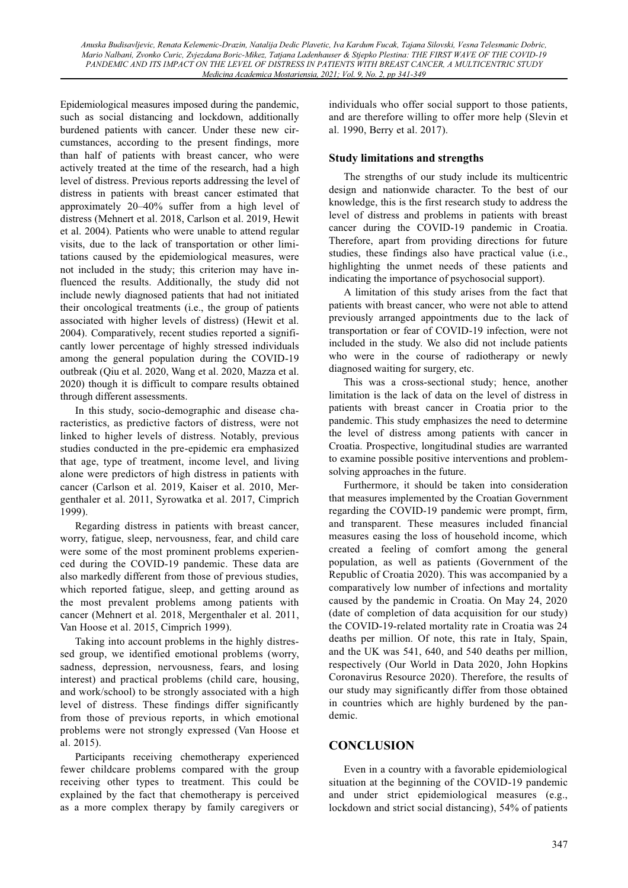Epidemiological measures imposed during the pandemic, such as social distancing and lockdown, additionally burdened patients with cancer. Under these new circumstances, according to the present findings, more than half of patients with breast cancer, who were actively treated at the time of the research, had a high level of distress. Previous reports addressing the level of distress in patients with breast cancer estimated that approximately 20-40% suffer from a high level of distress (Mehnert et al. 2018, Carlson et al. 2019, Hewit et al. 2004). Patients who were unable to attend regular visits, due to the lack of transportation or other limitations caused by the epidemiological measures, were not included in the study; this criterion may have influenced the results. Additionally, the study did not include newly diagnosed patients that had not initiated their oncological treatments (i.e., the group of patients associated with higher levels of distress) (Hewit et al. 2004). Comparatively, recent studies reported a significantly lower percentage of highly stressed individuals among the general population during the COVID-19 outbreak (Qiu et al. 2020, Wang et al. 2020, Mazza et al. 2020) though it is difficult to compare results obtained through different assessments.

In this study, socio-demographic and disease characteristics, as predictive factors of distress, were not linked to higher levels of distress. Notably, previous studies conducted in the pre-epidemic era emphasized that age, type of treatment, income level, and living alone were predictors of high distress in patients with cancer (Carlson et al. 2019, Kaiser et al. 2010, Mergenthaler et al. 2011, Syrowatka et al. 2017, Cimprich 1999).

Regarding distress in patients with breast cancer, worry, fatigue, sleep, nervousness, fear, and child care were some of the most prominent problems experienced during the COVID-19 pandemic. These data are also markedly different from those of previous studies, which reported fatigue, sleep, and getting around as the most prevalent problems among patients with cancer (Mehnert et al. 2018, Mergenthaler et al. 2011, Van Hoose et al. 2015, Cimprich 1999).

Taking into account problems in the highly distressed group, we identified emotional problems (worry, sadness, depression, nervousness, fears, and losing interest) and practical problems (child care, housing, and work/school) to be strongly associated with a high level of distress. These findings differ significantly from those of previous reports, in which emotional problems were not strongly expressed (Van Hoose et al. 2015).

Participants receiving chemotherapy experienced fewer childcare problems compared with the group receiving other types to treatment. This could be explained by the fact that chemotherapy is perceived as a more complex therapy by family caregivers or individuals who offer social support to those patients, and are therefore willing to offer more help (Slevin et al. 1990, Berry et al. 2017).

### **Study limitations and strengths**

The strengths of our study include its multicentric design and nationwide character. To the best of our knowledge, this is the first research study to address the level of distress and problems in patients with breast cancer during the COVID-19 pandemic in Croatia. Therefore, apart from providing directions for future studies, these findings also have practical value (i.e., highlighting the unmet needs of these patients and indicating the importance of psychosocial support).

A limitation of this study arises from the fact that patients with breast cancer, who were not able to attend previously arranged appointments due to the lack of transportation or fear of COVID-19 infection, were not included in the study. We also did not include patients who were in the course of radiotherapy or newly diagnosed waiting for surgery, etc.

This was a cross-sectional study; hence, another limitation is the lack of data on the level of distress in patients with breast cancer in Croatia prior to the pandemic. This study emphasizes the need to determine the level of distress among patients with cancer in Croatia. Prospective, longitudinal studies are warranted to examine possible positive interventions and problemsolving approaches in the future.

Furthermore, it should be taken into consideration that measures implemented by the Croatian Government regarding the COVID-19 pandemic were prompt, firm, and transparent. These measures included financial measures easing the loss of household income, which created a feeling of comfort among the general population, as well as patients (Government of the Republic of Croatia 2020). This was accompanied by a comparatively low number of infections and mortality caused by the pandemic in Croatia. On May 24, 2020 (date of completion of data acquisition for our study) the COVID-19-related mortality rate in Croatia was 24 deaths per million. Of note, this rate in Italy, Spain, and the UK was 541, 640, and 540 deaths per million, respectively (Our World in Data 2020, John Hopkins Coronavirus Resource 2020). Therefore, the results of our study may significantly differ from those obtained in countries which are highly burdened by the pandemic.

# **CONCLUSION**

Even in a country with a favorable epidemiological situation at the beginning of the COVID-19 pandemic and under strict epidemiological measures (e.g., lockdown and strict social distancing), 54% of patients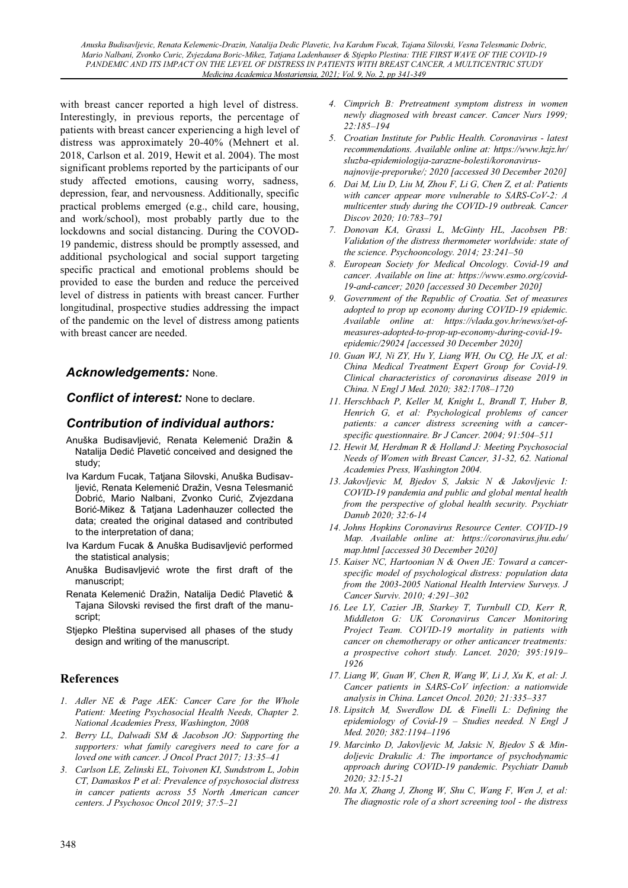with breast cancer reported a high level of distress. Interestingly, in previous reports, the percentage of patients with breast cancer experiencing a high level of distress was approximately 20-40% (Mehnert et al. 2018, Carlson et al. 2019, Hewit et al. 2004). The most significant problems reported by the participants of our study affected emotions, causing worry, sadness, depression, fear, and nervousness. Additionally, specific practical problems emerged (e.g., child care, housing, and work/school), most probably partly due to the lockdowns and social distancing. During the COVOD-19 pandemic, distress should be promptly assessed, and additional psychological and social support targeting specific practical and emotional problems should be provided to ease the burden and reduce the perceived level of distress in patients with breast cancer. Further longitudinal, prospective studies addressing the impact of the pandemic on the level of distress among patients with breast cancer are needed.

# *Acknowledgements:* None.

*Conflict of interest:* None to declare.

# *Contribution of individual authors:*

- Anuška Budisavliević. Renata Kelemenić Dražin & Natalija Dedić Plavetić conceived and designed the study;
- Iva Kardum Fucak, Tatjana Silovski, Anuška Budisavljević, Renata Kelemenić Dražin, Vesna Telesmanić Dobrić, Mario Nalbani, Zvonko Curić, Zvjezdana Borić-Mikez & Tatjana Ladenhauzer collected the data; created the original datased and contributed to the interpretation of dana;
- Iva Kardum Fucak & Anuška Budisavljević performed the statistical analysis;
- Anuška Budisavljević wrote the first draft of the manuscript;
- Renata Kelemenić Dražin, Natalija Dedić Plavetić & Tajana Silovski revised the first draft of the manuscript;
- Stiepko Pleština supervised all phases of the study design and writing of the manuscript.

# **References**

- *1. Adler NE & Page AEK: Cancer Care for the Whole Patient: Meeting Psychosocial Health Needs, Chapter 2. National Academies Press, Washington, 2008*
- *2. Berry LL, Dalwadi SM & Jacobson JO: Supporting the supporters: what family caregivers need to care for a loved one with cancer. J Oncol Pract 2017; 13:35±41*
- *3. Carlson LE, Zelinski EL, Toivonen KI, Sundstrom L, Jobin CT, Damaskos P et al: Prevalence of psychosocial distress in cancer patients across 55 North American cancer centers. J Psychosoc Oncol 2019; 37:5±21*
- *4. Cimprich B: Pretreatment symptom distress in women newly diagnosed with breast cancer. Cancer Nurs 1999; 22:185±194*
- *5. Croatian Institute for Public Health. Coronavirus latest recommendations. Available online at: https://www.hzjz.hr/ sluzba-epidemiologija-zarazne-bolesti/koronavirusnajnovije-preporuke/; 2020 [accessed 30 December 2020]*
- *6. Dai M, Liu D, Liu M, Zhou F, Li G, Chen Z, et al: Patients with cancer appear more vulnerable to SARS-CoV-2: A multicenter study during the COVID-19 outbreak. Cancer Discov 2020; 10:783±791*
- *7. Donovan KA, Grassi L, McGinty HL, Jacobsen PB: Validation of the distress thermometer worldwide: state of the science. Psychooncology. 2014; 23:241±50*
- *8. European Society for Medical Oncology. Covid-19 and cancer. Available on line at: https://www.esmo.org/covid-19-and-cancer; 2020 [accessed 30 December 2020]*
- *9. Government of the Republic of Croatia. Set of measures adopted to prop up economy during COVID-19 epidemic. Available online at: https://vlada.gov.hr/news/set-ofmeasures-adopted-to-prop-up-economy-during-covid-19 epidemic/29024 [accessed 30 December 2020]*
- *10. Guan WJ, Ni ZY, Hu Y, Liang WH, Ou CQ, He JX, et al: China Medical Treatment Expert Group for Covid-19. Clinical characteristics of coronavirus disease 2019 in China. N Engl J Med. 2020; 382:1708±1720*
- *11. Herschbach P, Keller M, Knight L, Brandl T, Huber B, Henrich G, et al: Psychological problems of cancer patients: a cancer distress screening with a cancerspecific questionnaire. Br J Cancer. 2004; 91:504±511*
- *12. Hewit M, Herdman R & Holland J: Meeting Psychosocial Needs of Women with Breast Cancer, 31-32, 62. National Academies Press, Washington 2004.*
- *13. Jakovljevic M, Bjedov S, Jaksic N & Jakovljevic I: COVID-19 pandemia and public and global mental health from the perspective of global health security. Psychiatr Danub 2020; 32:6-14*
- *14. Johns Hopkins Coronavirus Resource Center. COVID-19 Map. Available online at: https://coronavirus.jhu.edu/ map.html [accessed 30 December 2020]*
- *15. Kaiser NC, Hartoonian N & Owen JE: Toward a cancerspecific model of psychological distress: population data from the 2003-2005 National Health Interview Surveys. J Cancer Surviv. 2010; 4:291±302*
- *16. Lee LY, Cazier JB, Starkey T, Turnbull CD, Kerr R, Middleton G: UK Coronavirus Cancer Monitoring Project Team. COVID-19 mortality in patients with cancer on chemotherapy or other anticancer treatments: a prospective cohort study. Lancet. 2020; 395:1919± 1926*
- *17. Liang W, Guan W, Chen R, Wang W, Li J, Xu K, et al: J. Cancer patients in SARS-CoV infection: a nationwide analysis in China. Lancet Oncol. 2020; 21:335±337*
- *18. Lipsitch M, Swerdlow DL & Finelli L: Defining the epidemiology of Covid-19 ± Studies needed. N Engl J Med. 2020; 382:1194±1196*
- *19. Marcinko D, Jakovljevic M, Jaksic N, Bjedov S & Mindoljevic Drakulic A: The importance of psychodynamic approach during COVID-19 pandemic. Psychiatr Danub 2020; 32:15-21*
- *20. Ma X, Zhang J, Zhong W, Shu C, Wang F, Wen J, et al: The diagnostic role of a short screening tool - the distress*